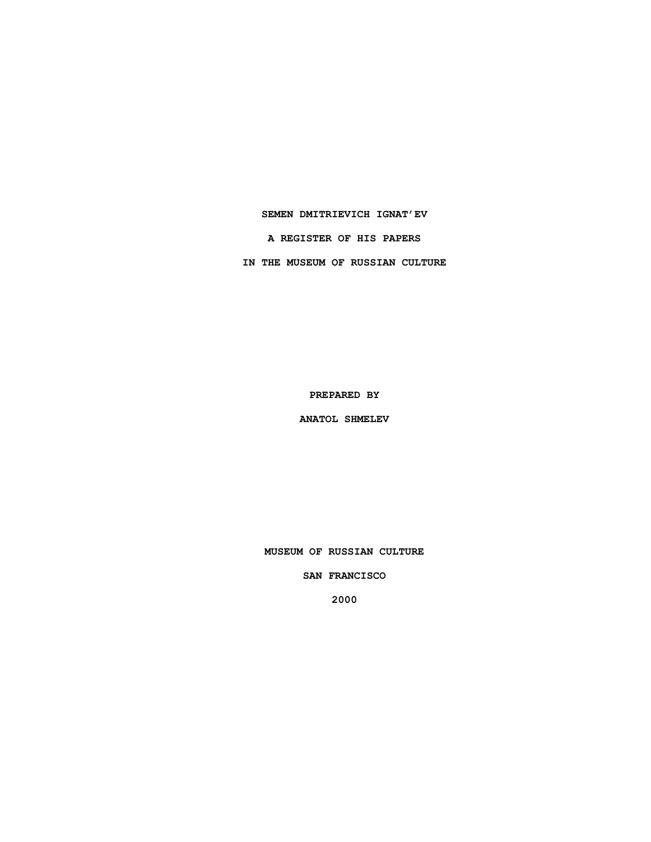**SEMEN DMITRIEVICH IGNAT'EV**

**A REGISTER OF HIS PAPERS**

**IN THE MUSEUM OF RUSSIAN CULTURE**

**PREPARED BY**

**ANATOL SHMELEV**

**MUSEUM OF RUSSIAN CULTURE**

**SAN FRANCISCO**

**2000**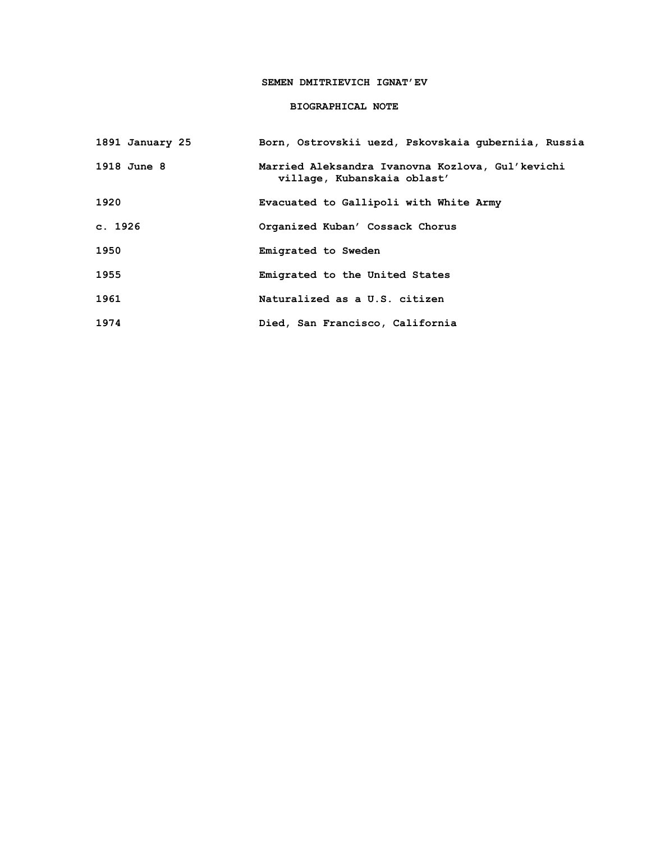## **SEMEN DMITRIEVICH IGNAT'EV**

# **BIOGRAPHICAL NOTE**

| 1891 January 25 | Born, Ostrovskii uezd, Pskovskaia quberniia, Russia                             |
|-----------------|---------------------------------------------------------------------------------|
| 1918 June 8     | Married Aleksandra Ivanovna Kozlova, Gul'kevichi<br>village, Kubanskaia oblast' |
| 1920            | Evacuated to Gallipoli with White Army                                          |
| c. 1926         | Organized Kuban' Cossack Chorus                                                 |
| 1950            | Emigrated to Sweden                                                             |
| 1955            | Emigrated to the United States                                                  |
| 1961            | Naturalized as a U.S. citizen                                                   |
| 1974            | Died, San Francisco, California                                                 |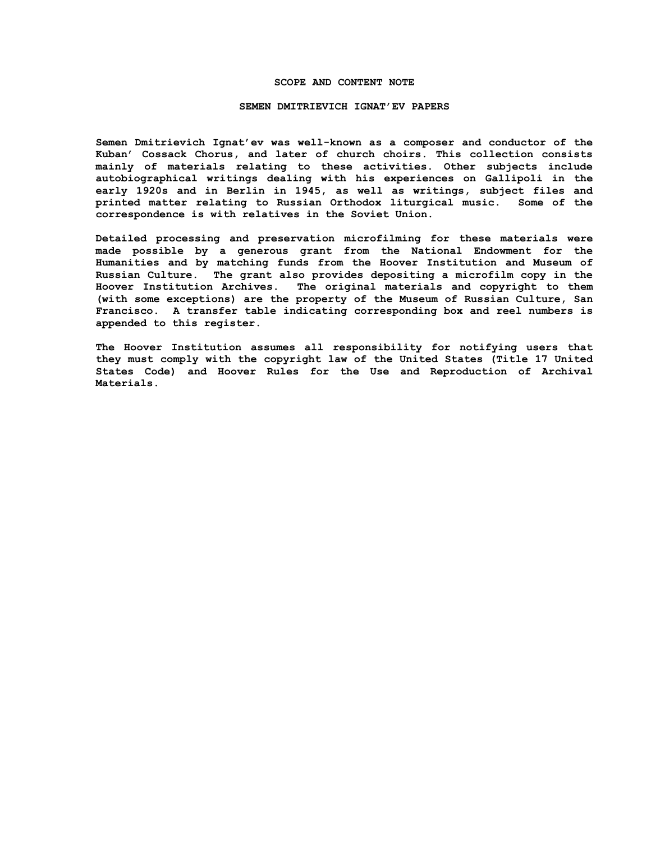### **SCOPE AND CONTENT NOTE**

#### **SEMEN DMITRIEVICH IGNAT'EV PAPERS**

**Semen Dmitrievich Ignat'ev was well-known as a composer and conductor of the Kuban' Cossack Chorus, and later of church choirs. This collection consists mainly of materials relating to these activities. Other subjects include autobiographical writings dealing with his experiences on Gallipoli in the early 1920s and in Berlin in 1945, as well as writings, subject files and printed matter relating to Russian Orthodox liturgical music. Some of the correspondence is with relatives in the Soviet Union.**

**Detailed processing and preservation microfilming for these materials were made possible by a generous grant from the National Endowment for the Humanities and by matching funds from the Hoover Institution and Museum of Russian Culture. The grant also provides depositing a microfilm copy in the Hoover Institution Archives. The original materials and copyright to them (with some exceptions) are the property of the Museum of Russian Culture, San Francisco. A transfer table indicating corresponding box and reel numbers is appended to this register.**

**The Hoover Institution assumes all responsibility for notifying users that they must comply with the copyright law of the United States (Title 17 United States Code) and Hoover Rules for the Use and Reproduction of Archival Materials.**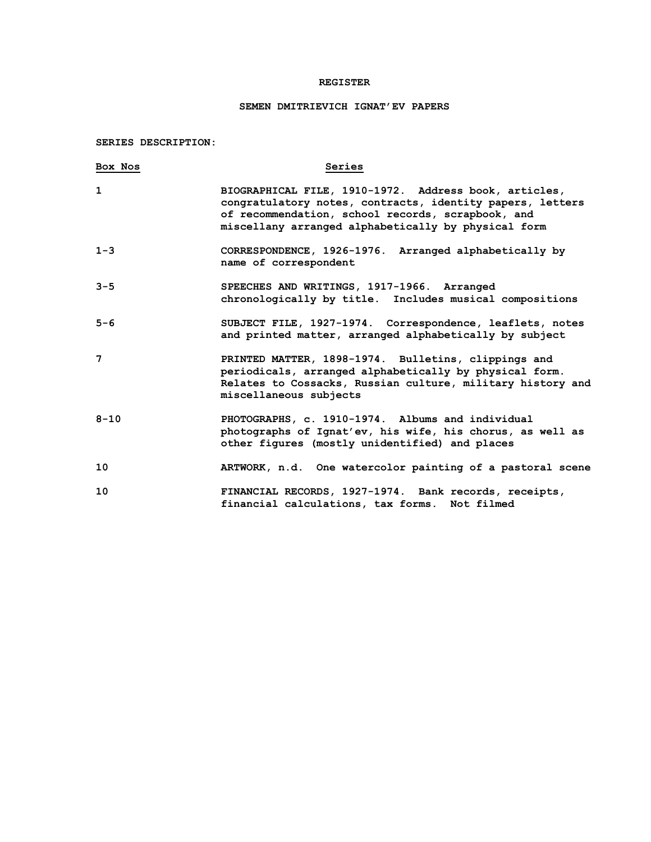## **REGISTER**

## **SEMEN DMITRIEVICH IGNAT'EV PAPERS**

**SERIES DESCRIPTION:**

| Box Nos  | Series                                                                                                                                                                                                                         |
|----------|--------------------------------------------------------------------------------------------------------------------------------------------------------------------------------------------------------------------------------|
| 1        | BIOGRAPHICAL FILE, 1910-1972. Address book, articles,<br>congratulatory notes, contracts, identity papers, letters<br>of recommendation, school records, scrapbook, and<br>miscellany arranged alphabetically by physical form |
| $1 - 3$  | CORRESPONDENCE, 1926-1976. Arranged alphabetically by<br>name of correspondent                                                                                                                                                 |
| $3 - 5$  | SPEECHES AND WRITINGS, 1917-1966. Arranged<br>chronologically by title. Includes musical compositions                                                                                                                          |
| $5 - 6$  | SUBJECT FILE, 1927-1974. Correspondence, leaflets, notes<br>and printed matter, arranged alphabetically by subject                                                                                                             |
| 7        | PRINTED MATTER, 1898-1974. Bulletins, clippings and<br>periodicals, arranged alphabetically by physical form.<br>Relates to Cossacks, Russian culture, military history and<br>miscellaneous subjects                          |
| $8 - 10$ | PHOTOGRAPHS, c. 1910-1974. Albums and individual<br>photographs of Ignat'ev, his wife, his chorus, as well as<br>other figures (mostly unidentified) and places                                                                |
| 10       | ARTWORK, n.d. One watercolor painting of a pastoral scene                                                                                                                                                                      |
| 10       | FINANCIAL RECORDS, 1927-1974. Bank records, receipts,<br>financial calculations, tax forms. Not filmed                                                                                                                         |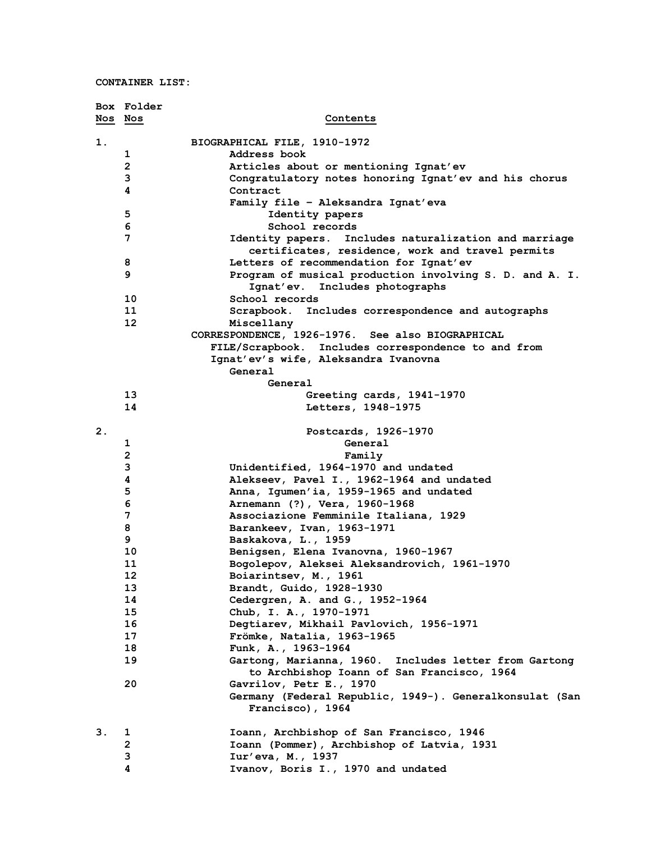**CONTAINER LIST:**

|         | Box Folder     |                                                                                                           |
|---------|----------------|-----------------------------------------------------------------------------------------------------------|
| Nos Nos |                | Contents                                                                                                  |
|         |                |                                                                                                           |
| 1.      |                | BIOGRAPHICAL FILE, 1910-1972                                                                              |
|         | 1              | Address book                                                                                              |
|         | $\overline{2}$ | Articles about or mentioning Ignat'ev                                                                     |
|         | 3              | Congratulatory notes honoring Ignat'ev and his chorus                                                     |
|         | 4              | Contract                                                                                                  |
|         |                | Family file - Aleksandra Ignat'eva                                                                        |
|         | 5              | Identity papers                                                                                           |
|         | 6              | School records                                                                                            |
|         | 7              | Identity papers. Includes naturalization and marriage<br>certificates, residence, work and travel permits |
|         | 8              | Letters of recommendation for Ignat'ev                                                                    |
|         | 9              | Program of musical production involving S. D. and A. I.                                                   |
|         |                | Ignat'ev. Includes photographs                                                                            |
|         | 10             | School records                                                                                            |
|         | 11             | Scrapbook. Includes correspondence and autographs                                                         |
|         | 12             | Miscellany                                                                                                |
|         |                | CORRESPONDENCE, 1926-1976. See also BIOGRAPHICAL                                                          |
|         |                | FILE/Scrapbook. Includes correspondence to and from                                                       |
|         |                | Ignat'ev's wife, Aleksandra Ivanovna                                                                      |
|         |                | General                                                                                                   |
|         |                | General                                                                                                   |
|         | 13             | Greeting cards, 1941-1970                                                                                 |
|         | 14             | Letters, 1948-1975                                                                                        |
|         |                |                                                                                                           |
| 2.      |                | Postcards, 1926-1970                                                                                      |
|         | 1              | General                                                                                                   |
|         | $\mathbf 2$    | Family                                                                                                    |
|         | 3              | Unidentified, 1964-1970 and undated                                                                       |
|         | 4              | Alekseev, Pavel I., 1962-1964 and undated                                                                 |
|         | 5              | Anna, Igumen'ia, 1959-1965 and undated                                                                    |
|         | 6              | Arnemann (?), Vera, 1960-1968                                                                             |
|         | $\overline{7}$ | Associazione Femminile Italiana, 1929                                                                     |
|         | 8              | Barankeev, Ivan, 1963-1971                                                                                |
|         | 9              | Baskakova, L., 1959                                                                                       |
|         | 10             | Benigsen, Elena Ivanovna, 1960-1967                                                                       |
|         | 11             | Bogolepov, Aleksei Aleksandrovich, 1961-1970                                                              |
|         | 12             | Boiarintsev, M., 1961                                                                                     |
|         | 13             | Brandt, Guido, 1928-1930                                                                                  |
|         | 14             | Cedergren, A. and G., 1952-1964                                                                           |
|         | 15             | Chub, I. A., 1970-1971                                                                                    |
|         | 16             | Degtiarev, Mikhail Pavlovich, 1956-1971                                                                   |
|         | 17             | Frömke, Natalia, 1963-1965                                                                                |
|         | 18<br>19       | Funk, A., 1963-1964                                                                                       |
|         |                | Gartong, Marianna, 1960. Includes letter from Gartong                                                     |
|         | 20             | to Archbishop Ioann of San Francisco, 1964<br>Gavrilov, Petr E., 1970                                     |
|         |                | Germany (Federal Republic, 1949-). Generalkonsulat (San                                                   |
|         |                | Francisco), 1964                                                                                          |
|         |                |                                                                                                           |
| З.      | 1              | Ioann, Archbishop of San Francisco, 1946                                                                  |
|         | $\overline{2}$ | Ioann (Pommer), Archbishop of Latvia, 1931                                                                |
|         | 3              | Iur'eva, M., 1937                                                                                         |
|         | 4              | Ivanov, Boris I., 1970 and undated                                                                        |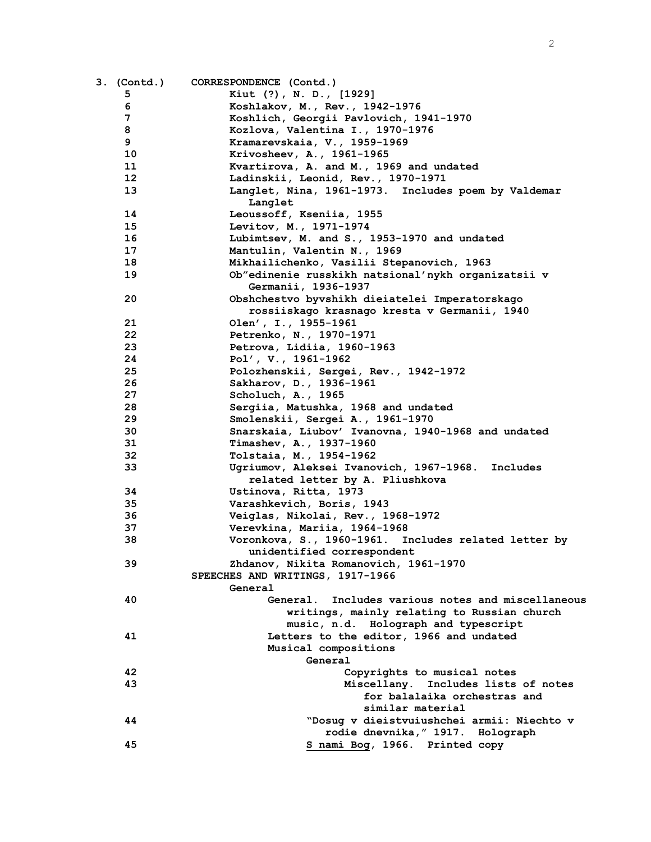| 3. (Contd.)     | CORRESPONDENCE (Contd.)                                            |
|-----------------|--------------------------------------------------------------------|
| 5               | Kiut (?), N. D., [1929]                                            |
| 6               | Koshlakov, M., Rev., 1942-1976                                     |
| 7               | Koshlich, Georgii Pavlovich, 1941-1970                             |
| 8               | Kozlova, Valentina I., 1970-1976                                   |
| 9               | Kramarevskaia, V., 1959-1969                                       |
| 10              | Krivosheev, A., 1961-1965                                          |
| 11              | Kvartirova, A. and M., 1969 and undated                            |
| 12 <sup>2</sup> | Ladinskii, Leonid, Rev., 1970-1971                                 |
| 13              | Langlet, Nina, 1961-1973. Includes poem by Valdemar                |
|                 | Langlet                                                            |
| 14              | Leoussoff, Kseniia, 1955                                           |
| 15              | Levitov, M., 1971-1974                                             |
| 16              | Lubimtsev, M. and S., 1953-1970 and undated                        |
| 17              | Mantulin, Valentin N., 1969                                        |
| 18              | Mikhailichenko, Vasilii Stepanovich, 1963                          |
| 19              | Ob"edinenie russkikh natsional'nykh organizatsii v                 |
|                 | Germanii, 1936-1937                                                |
| 20              | Obshchestvo byvshikh dieiatelei Imperatorskago                     |
|                 | rossiiskago krasnago kresta v Germanii, 1940                       |
| 21              | Olen', I., 1955-1961                                               |
| 22              | Petrenko, N., 1970-1971                                            |
| 23              | Petrova, Lidiia, 1960-1963                                         |
| 24              | Pol', V., 1961-1962                                                |
| 25              |                                                                    |
| 26              | Polozhenskii, Sergei, Rev., 1942-1972<br>Sakharov, D., 1936-1961   |
| 27              | Scholuch, A., 1965                                                 |
| 28              | Sergiia, Matushka, 1968 and undated                                |
| 29              | Smolenskii, Sergei A., 1961-1970                                   |
| 30              | Snarskaia, Liubov' Ivanovna, 1940-1968 and undated                 |
| 31              | Timashev, A., 1937-1960                                            |
| 32              | Tolstaia, M., 1954-1962                                            |
| 33              | Ugriumov, Aleksei Ivanovich, 1967-1968. Includes                   |
|                 | related letter by A. Pliushkova                                    |
| 34              | Ustinova, Ritta, 1973                                              |
| 35              | Varashkevich, Boris, 1943                                          |
| 36              | Veiglas, Nikolai, Rev., 1968-1972                                  |
| 37              | Verevkina, Mariia, 1964-1968                                       |
| 38              | Voronkova, S., 1960-1961. Includes related letter by               |
|                 | unidentified correspondent                                         |
| 39              | Zhdanov, Nikita Romanovich, 1961-1970                              |
|                 | SPEECHES AND WRITINGS, 1917-1966                                   |
|                 | General                                                            |
| 40              | Includes various notes and miscellaneous<br>General.               |
|                 | writings, mainly relating to Russian church                        |
|                 | music, n.d. Holograph and typescript                               |
| 41              | Letters to the editor, 1966 and undated                            |
|                 | Musical compositions                                               |
|                 | General                                                            |
| 42              | Copyrights to musical notes                                        |
| 43              | Miscellany. Includes lists of notes                                |
|                 | for balalaika orchestras and                                       |
|                 | similar material                                                   |
| 44              | "Dosug v dieistvuiushchei armii: Niechto v                         |
|                 |                                                                    |
| 45              | rodie dnevnika, "1917. Holograph<br>S nami Bog, 1966. Printed copy |
|                 |                                                                    |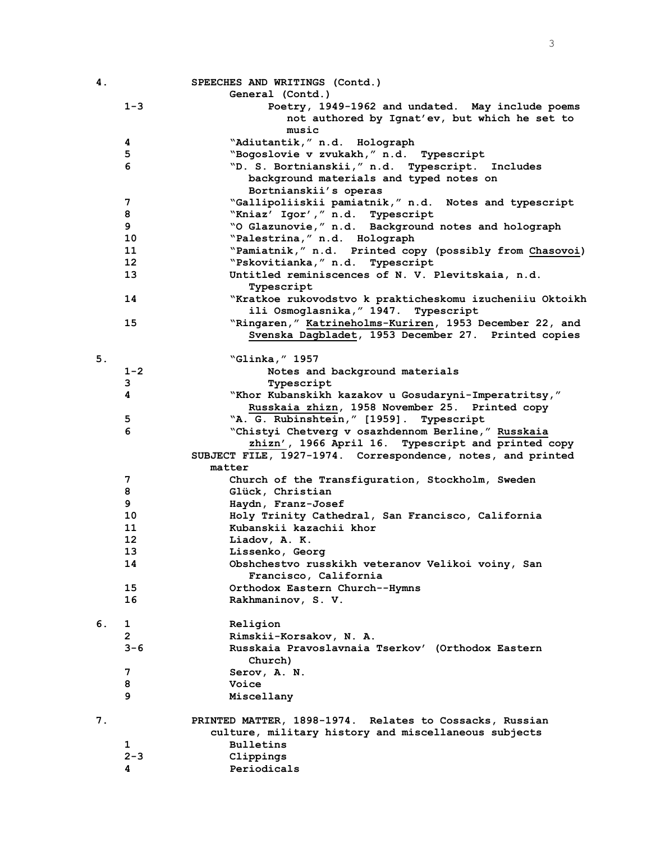| 4. |                       | SPEECHES AND WRITINGS (Contd.)                               |
|----|-----------------------|--------------------------------------------------------------|
|    |                       | General (Contd.)                                             |
|    | $1 - 3$               | Poetry, 1949-1962 and undated. May include poems             |
|    |                       | not authored by Ignat'ev, but which he set to                |
|    |                       | music                                                        |
|    | 4                     | "Adiutantik," n.d. Holograph                                 |
|    | 5                     | "Bogoslovie v zvukakh," n.d. Typescript                      |
|    | 6                     | "D. S. Bortnianskii," n.d. Typescript. Includes              |
|    |                       | background materials and typed notes on                      |
|    |                       | Bortnianskii's operas                                        |
|    | 7                     | "Gallipoliiskii pamiatnik," n.d. Notes and typescript        |
|    | 8                     | "Kniaz' Igor'," n.d. Typescript                              |
|    | 9                     | "O Glazunovie," n.d. Background notes and holograph          |
|    | 10                    | "Palestrina," n.d. Holograph                                 |
|    | 11                    | "Pamiatnik," n.d. Printed copy (possibly from Chasovoi)      |
|    | 12 <sup>2</sup>       | "Pskovitianka, " n.d. Typescript                             |
|    | 13                    | Untitled reminiscences of N. V. Plevitskaia, n.d.            |
|    |                       | Typescript                                                   |
|    | 14                    | "Kratkoe rukovodstvo k prakticheskomu izucheniiu Oktoikh     |
|    |                       | ili Osmoglasnika, "1947. Typescript                          |
|    | 15                    | "Ringaren," Katrineholms-Kuriren, 1953 December 22, and      |
|    |                       | Svenska Dagbladet, 1953 December 27. Printed copies          |
|    |                       |                                                              |
| 5. |                       | "Glinka, " 1957                                              |
|    | $1 - 2$               | Notes and background materials                               |
|    | 3                     |                                                              |
|    | 4                     | Typescript                                                   |
|    |                       | "Khor Kubanskikh kazakov u Gosudaryni-Imperatritsy,"         |
|    |                       | Russkaia zhizn, 1958 November 25. Printed copy               |
|    | 5                     | "A. G. Rubinshtein," [1959]. Typescript                      |
|    | 6                     | "Chistyi Chetverg v osazhdennom Berline," Russkaia           |
|    |                       | zhizn', 1966 April 16. Typescript and printed copy           |
|    |                       | SUBJECT FILE, 1927-1974. Correspondence, notes, and printed  |
|    |                       | matter                                                       |
|    | 7                     | Church of the Transfiguration, Stockholm, Sweden             |
|    | 8                     | Glück, Christian                                             |
|    | 9                     | Haydn, Franz-Josef                                           |
|    | 10                    | Holy Trinity Cathedral, San Francisco, California            |
|    | 11                    | Kubanskii kazachii khor                                      |
|    | 12                    | Liadov, A. K.                                                |
|    | 13                    | Lissenko, Georg                                              |
|    | 14                    | Obshchestvo russkikh veteranov Velikoi voiny, San            |
|    |                       | Francisco, California                                        |
|    | 15                    | Orthodox Eastern Church--Hymns                               |
|    | 16                    | Rakhmaninov, S. V.                                           |
| 6. | 1                     | Religion                                                     |
|    | $\mathbf{2}^{\prime}$ | Rimskii-Korsakov, N. A.                                      |
|    | $3 - 6$               | Russkaia Pravoslavnaia Tserkov' (Orthodox Eastern<br>Church) |
|    | 7                     | Serov, A. N.                                                 |
|    | 8                     | Voice                                                        |
|    | 9                     |                                                              |
|    |                       | Miscellany                                                   |
| 7. |                       | PRINTED MATTER, 1898-1974. Relates to Cossacks, Russian      |
|    |                       | culture, military history and miscellaneous subjects         |
|    | 1                     | <b>Bulletins</b>                                             |
|    | $2 - 3$               | Clippings                                                    |
|    | 4                     | Periodicals                                                  |
|    |                       |                                                              |